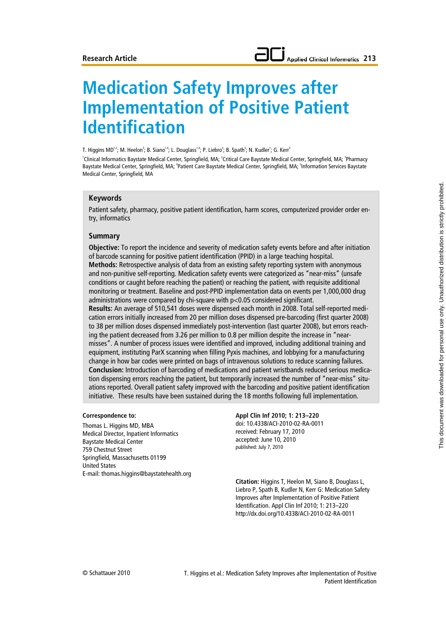# **Medication Safety Improves after Implementation of Positive Patient Identification**

T. Higgins MD<sup>1,2</sup>; M. Heelon<sup>3</sup>; B. Siano<sup>1,4</sup>; L. Douglass<sup>1,4</sup>; P. Liebro<sup>3</sup>; B. Spath<sup>5</sup>; N. Kudler<sup>1</sup>; G. Kerr<sup>3</sup>

<sup>1</sup>Clinical Informatics Baystate Medical Center, Springfield, MA; <sup>2</sup>Critical Care Baystate Medical Center, Springfield, MA; <sup>3</sup>Pharmacy Baystate Medical Center, Springfield, MA; <sup>4</sup>Patient Care Baystate Medical Center, Springfield, MA; <sup>5</sup>Information Services Baystate Medical Center, Springfield, MA

#### **Keywords**

Patient safety, pharmacy, positive patient identification, harm scores, computerized provider order entry, informatics

#### **Summary**

**Objective:** To report the incidence and severity of medication safety events before and after initiation of barcode scanning for positive patient identification (PPID) in a large teaching hospital. **Methods:** Retrospective analysis of data from an existing safety reporting system with anonymous and non-punitive self-reporting. Medication safety events were categorized as "near-miss" (unsafe conditions or caught before reaching the patient) or reaching the patient, with requisite additional monitoring or treatment. Baseline and post-PPID implementation data on events per 1,000,000 drug administrations were compared by chi-square with p<0.05 considered significant.

**Results:** An average of 510,541 doses were dispensed each month in 2008. Total self-reported medication errors initially increased from 20 per million doses dispensed pre-barcoding (first quarter 2008) to 38 per million doses dispensed immediately post-intervention (last quarter 2008), but errors reaching the patient decreased from 3.26 per million to 0.8 per million despite the increase in "nearmisses". A number of process issues were identified and improved, including additional training and equipment, instituting ParX scanning when filling Pyxis machines, and lobbying for a manufacturing change in how bar codes were printed on bags of intravenous solutions to reduce scanning failures. **Conclusion:** Introduction of barcoding of medications and patient wristbands reduced serious medication dispensing errors reaching the patient, but temporarily increased the number of "near-miss" situations reported. Overall patient safety improved with the barcoding and positive patient identification initiative. These results have been sustained during the 18 months following full implementation.

#### **Correspondence to:**

Thomas L. Higgins MD, MBA Medical Director, Inpatient Informatics Baystate Medical Center 759 Chestnut Street Springfield, Massachusetts 01199 United States E-mail: thomas.higgins@baystatehealth.org **Appl Clin Inf 2010; 1: 213–220** doi: 10.4338/ACI-2010-02-RA-0011 received: February 17, 2010 accepted: June 10, 2010 published: July 7, 2010

**Citation:** Higgins T, Heelon M, Siano B, Douglass L, Liebro P, Spath B, Kudler N, Kerr G: Medication Safety Improves after Implementation of Positive Patient Identification. Appl Clin Inf 2010; 1: 213–220 http://dx.doi.org/10.4338/ACI-2010-02-RA-0011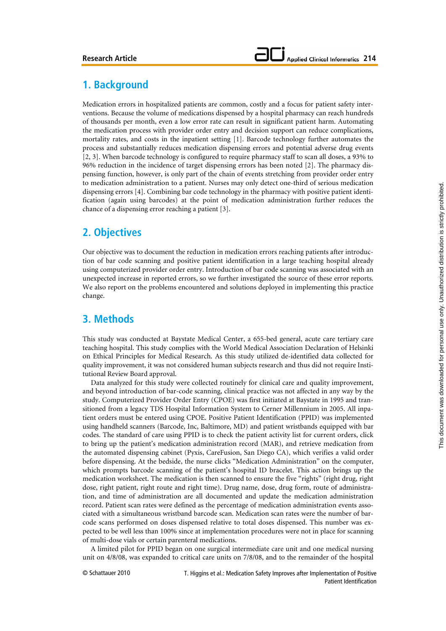## **1. Background**

Medication errors in hospitalized patients are common, costly and a focus for patient safety interventions. Because the volume of medications dispensed by a hospital pharmacy can reach hundreds of thousands per month, even a low error rate can result in significant patient harm. Automating the medication process with provider order entry and decision support can reduce complications, mortality rates, and costs in the inpatient setting [1]. Barcode technology further automates the process and substantially reduces medication dispensing errors and potential adverse drug events [2, 3]. When barcode technology is configured to require pharmacy staff to scan all doses, a 93% to 96% reduction in the incidence of target dispensing errors has been noted [2]. The pharmacy dispensing function, however, is only part of the chain of events stretching from provider order entry to medication administration to a patient. Nurses may only detect one-third of serious medication dispensing errors [4]. Combining bar code technology in the pharmacy with positive patient identification (again using barcodes) at the point of medication administration further reduces the chance of a dispensing error reaching a patient [3].

## **2. Objectives**

Our objective was to document the reduction in medication errors reaching patients after introduction of bar code scanning and positive patient identification in a large teaching hospital already using computerized provider order entry. Introduction of bar code scanning was associated with an unexpected increase in reported errors, so we further investigated the source of these error reports. We also report on the problems encountered and solutions deployed in implementing this practice change.

## **3. Methods**

This study was conducted at Baystate Medical Center, a 655-bed general, acute care tertiary care teaching hospital. This study complies with the World Medical Association Declaration of Helsinki on Ethical Principles for Medical Research. As this study utilized de-identified data collected for quality improvement, it was not considered human subjects research and thus did not require Institutional Review Board approval.

Data analyzed for this study were collected routinely for clinical care and quality improvement, and beyond introduction of bar-code scanning, clinical practice was not affected in any way by the study. Computerized Provider Order Entry (CPOE) was first initiated at Baystate in 1995 and transitioned from a legacy TDS Hospital Information System to Cerner Millennium in 2005. All inpatient orders must be entered using CPOE. Positive Patient Identification (PPID) was implemented using handheld scanners (Barcode, Inc, Baltimore, MD) and patient wristbands equipped with bar codes. The standard of care using PPID is to check the patient activity list for current orders, click to bring up the patient's medication administration record (MAR), and retrieve medication from the automated dispensing cabinet (Pyxis, CareFusion, San Diego CA), which verifies a valid order before dispensing. At the bedside, the nurse clicks "Medication Administration" on the computer, which prompts barcode scanning of the patient's hospital ID bracelet. This action brings up the medication worksheet. The medication is then scanned to ensure the five "rights" (right drug, right dose, right patient, right route and right time). Drug name, dose, drug form, route of administration, and time of administration are all documented and update the medication administration record. Patient scan rates were defined as the percentage of medication administration events associated with a simultaneous wristband barcode scan. Medication scan rates were the number of barcode scans performed on doses dispensed relative to total doses dispensed. This number was expected to be well less than 100% since at implementation procedures were not in place for scanning of multi-dose vials or certain parenteral medications.

A limited pilot for PPID began on one surgical intermediate care unit and one medical nursing unit on 4/8/08, was expanded to critical care units on 7/8/08, and to the remainder of the hospital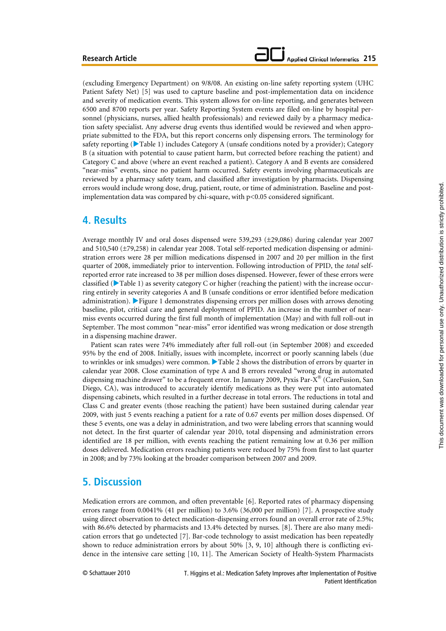(excluding Emergency Department) on 9/8/08. An existing on-line safety reporting system (UHC Patient Safety Net) [5] was used to capture baseline and post-implementation data on incidence and severity of medication events. This system allows for on-line reporting, and generates between 6500 and 8700 reports per year. Safety Reporting System events are filed on-line by hospital personnel (physicians, nurses, allied health professionals) and reviewed daily by a pharmacy medication safety specialist. Any adverse drug events thus identified would be reviewed and when appropriate submitted to the FDA, but this report concerns only dispensing errors. The terminology for safety reporting ( $\blacktriangleright$  Table 1) includes Category A (unsafe conditions noted by a provider); Category B (a situation with potential to cause patient harm, but corrected before reaching the patient) and Category C and above (where an event reached a patient). Category A and B events are considered "near-miss" events, since no patient harm occurred. Safety events involving pharmaceuticals are reviewed by a pharmacy safety team, and classified after investigation by pharmacists. Dispensing errors would include wrong dose, drug, patient, route, or time of administration. Baseline and postimplementation data was compared by chi-square, with  $p<0.05$  considered significant.

### **4. Results**

Average monthly IV and oral doses dispensed were 539,293 (±29,086) during calendar year 2007 and 510,540 (±79,258) in calendar year 2008. Total self-reported medication dispensing or administration errors were 28 per million medications dispensed in 2007 and 20 per million in the first quarter of 2008, immediately prior to intervention. Following introduction of PPID, the *total* selfreported error rate increased to 38 per million doses dispensed. However, fewer of these errors were classified ( $\blacktriangleright$  Table 1) as severity category C or higher (reaching the patient) with the increase occurring entirely in severity categories A and B (unsafe conditions or error identified before medication administration).  $\blacktriangleright$  Figure 1 demonstrates dispensing errors per million doses with arrows denoting baseline, pilot, critical care and general deployment of PPID. An increase in the number of nearmiss events occurred during the first full month of implementation (May) and with full roll-out in September. The most common "near-miss" error identified was wrong medication or dose strength in a dispensing machine drawer.

Patient scan rates were 74% immediately after full roll-out (in September 2008) and exceeded 95% by the end of 2008. Initially, issues with incomplete, incorrect or poorly scanning labels (due to wrinkles or ink smudges) were common. Table 2 shows the distribution of errors by quarter in calendar year 2008. Close examination of type A and B errors revealed "wrong drug in automated dispensing machine drawer" to be a frequent error. In January 2009, Pyxis Par- $X^{\circ}$  (CareFusion, San Diego, CA), was introduced to accurately identify medications as they were put into automated dispensing cabinets, which resulted in a further decrease in total errors. The reductions in total and Class C and greater events (those reaching the patient) have been sustained during calendar year 2009, with just 5 events reaching a patient for a rate of 0.67 events per million doses dispensed. Of these 5 events, one was a delay in administration, and two were labeling errors that scanning would not detect. In the first quarter of calendar year 2010, total dispensing and administration errors identified are 18 per million, with events reaching the patient remaining low at 0.36 per million doses delivered. Medication errors reaching patients were reduced by 75% from first to last quarter in 2008; and by 73% looking at the broader comparison between 2007 and 2009.

## **5. Discussion**

Medication errors are common, and often preventable [6]. Reported rates of pharmacy dispensing errors range from 0.0041% (41 per million) to 3.6% (36,000 per million) [7]. A prospective study using direct observation to detect medication-dispensing errors found an overall error rate of 2.5%; with 86.6% detected by pharmacists and 13.4% detected by nurses. [8]. There are also many medication errors that go undetected [7]. Bar-code technology to assist medication has been repeatedly shown to reduce administration errors by about 50% [3, 9, 10] although there is conflicting evidence in the intensive care setting [10, 11]. The American Society of Health-System Pharmacists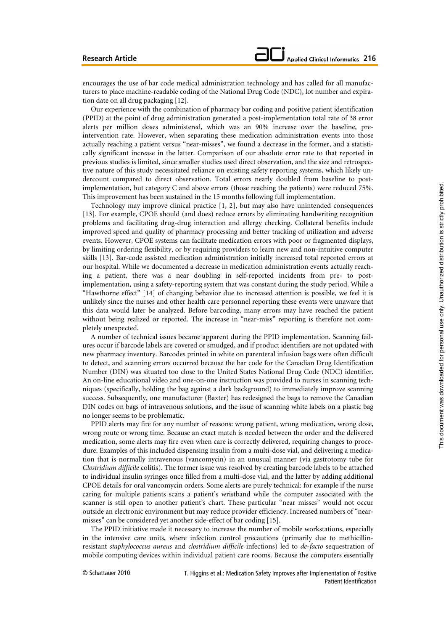#### **Research Article**

encourages the use of bar code medical administration technology and has called for all manufacturers to place machine-readable coding of the National Drug Code (NDC), lot number and expiration date on all drug packaging [12].

Our experience with the combination of pharmacy bar coding and positive patient identification (PPID) at the point of drug administration generated a post-implementation total rate of 38 error alerts per million doses administered, which was an 90% increase over the baseline, preintervention rate. However, when separating these medication administration events into those actually reaching a patient versus "near-misses", we found a decrease in the former, and a statistically significant increase in the latter. Comparison of our absolute error rate to that reported in previous studies is limited, since smaller studies used direct observation, and the size and retrospective nature of this study necessitated reliance on existing safety reporting systems, which likely undercount compared to direct observation. Total errors nearly doubled from baseline to postimplementation, but category C and above errors (those reaching the patients) were reduced 75%. This improvement has been sustained in the 15 months following full implementation.

Technology may improve clinical practice [1, 2], but may also have unintended consequences [13]. For example, CPOE should (and does) reduce errors by eliminating handwriting recognition problems and facilitating drug-drug interaction and allergy checking. Collateral benefits include improved speed and quality of pharmacy processing and better tracking of utilization and adverse events. However, CPOE systems can facilitate medication errors with poor or fragmented displays, by limiting ordering flexibility, or by requiring providers to learn new and non-intuitive computer skills [13]. Bar-code assisted medication administration initially increased total reported errors at our hospital. While we documented a decrease in medication administration events actually reaching a patient, there was a near doubling in self-reported incidents from pre- to postimplementation, using a safety-reporting system that was constant during the study period. While a "Hawthorne effect" [14] of changing behavior due to increased attention is possible, we feel it is unlikely since the nurses and other health care personnel reporting these events were unaware that this data would later be analyzed. Before barcoding, many errors may have reached the patient without being realized or reported. The increase in "near-miss" reporting is therefore not completely unexpected.

A number of technical issues became apparent during the PPID implementation. Scanning failures occur if barcode labels are covered or smudged, and if product identifiers are not updated with new pharmacy inventory. Barcodes printed in white on parenteral infusion bags were often difficult to detect, and scanning errors occurred because the bar code for the Canadian Drug Identification Number (DIN) was situated too close to the United States National Drug Code (NDC) identifier. An on-line educational video and one-on-one instruction was provided to nurses in scanning techniques (specifically, holding the bag against a dark background) to immediately improve scanning success. Subsequently, one manufacturer (Baxter) has redesigned the bags to remove the Canadian DIN codes on bags of intravenous solutions, and the issue of scanning white labels on a plastic bag no longer seems to be problematic.

PPID alerts may fire for any number of reasons: wrong patient, wrong medication, wrong dose, wrong route or wrong time. Because an exact match is needed between the order and the delivered medication, some alerts may fire even when care is correctly delivered, requiring changes to procedure. Examples of this included dispensing insulin from a multi-dose vial, and delivering a medication that is normally intravenous (vancomycin) in an unusual manner (via gastrotomy tube for *Clostridium difficile* colitis). The former issue was resolved by creating barcode labels to be attached to individual insulin syringes once filled from a multi-dose vial, and the latter by adding additional CPOE details for oral vancomycin orders. Some alerts are purely technical: for example if the nurse caring for multiple patients scans a patient's wristband while the computer associated with the scanner is still open to another patient's chart. These particular "near misses" would not occur outside an electronic environment but may reduce provider efficiency. Increased numbers of "nearmisses" can be considered yet another side-effect of bar coding [15].

The PPID initiative made it necessary to increase the number of mobile workstations, especially in the intensive care units, where infection control precautions (primarily due to methicillinresistant *staphylococcus aureus* and *clostridium difficile* infections) led to *de-facto* sequestration of mobile computing devices within individual patient care rooms. Because the computers essentially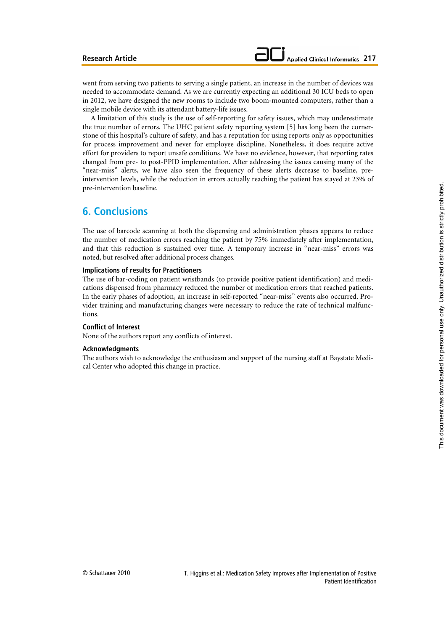went from serving two patients to serving a single patient, an increase in the number of devices was needed to accommodate demand. As we are currently expecting an additional 30 ICU beds to open in 2012, we have designed the new rooms to include two boom-mounted computers, rather than a single mobile device with its attendant battery-life issues.

A limitation of this study is the use of self-reporting for safety issues, which may underestimate the true number of errors. The UHC patient safety reporting system [5] has long been the cornerstone of this hospital's culture of safety, and has a reputation for using reports only as opportunities for process improvement and never for employee discipline. Nonetheless, it does require active effort for providers to report unsafe conditions. We have no evidence, however, that reporting rates changed from pre- to post-PPID implementation. After addressing the issues causing many of the "near-miss" alerts, we have also seen the frequency of these alerts decrease to baseline, preintervention levels, while the reduction in errors actually reaching the patient has stayed at 23% of pre-intervention baseline.

# **6. Conclusions**

The use of barcode scanning at both the dispensing and administration phases appears to reduce the number of medication errors reaching the patient by 75% immediately after implementation, and that this reduction is sustained over time. A temporary increase in "near-miss" errors was noted, but resolved after additional process changes.

#### **Implications of results for Practitioners**

The use of bar-coding on patient wristbands (to provide positive patient identification) and medications dispensed from pharmacy reduced the number of medication errors that reached patients. In the early phases of adoption, an increase in self-reported "near-miss" events also occurred. Provider training and manufacturing changes were necessary to reduce the rate of technical malfunctions.

#### **Conflict of Interest**

None of the authors report any conflicts of interest.

#### **Acknowledgments**

The authors wish to acknowledge the enthusiasm and support of the nursing staff at Baystate Medical Center who adopted this change in practice.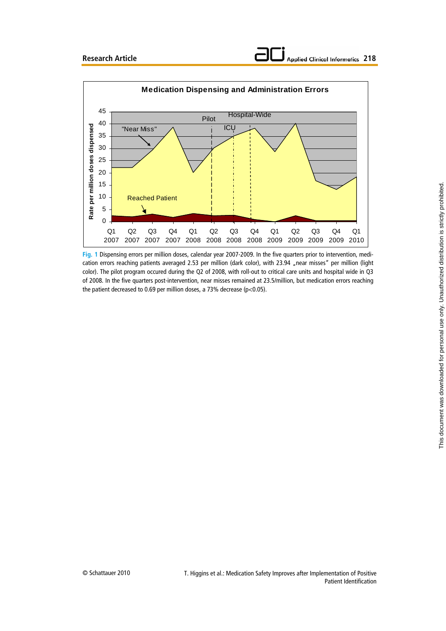



**Fig. 1** Dispensing errors per million doses, calendar year 2007-2009. In the five quarters prior to intervention, medication errors reaching patients averaged 2.53 per million (dark color), with 23.94 "near misses" per million (light color). The pilot program occured during the Q2 of 2008, with roll-out to critical care units and hospital wide in Q3 of 2008. In the five quarters post-intervention, near misses remained at 23.5/million, but medication errors reaching the patient decreased to 0.69 per million doses, a 73% decrease (p<0.05).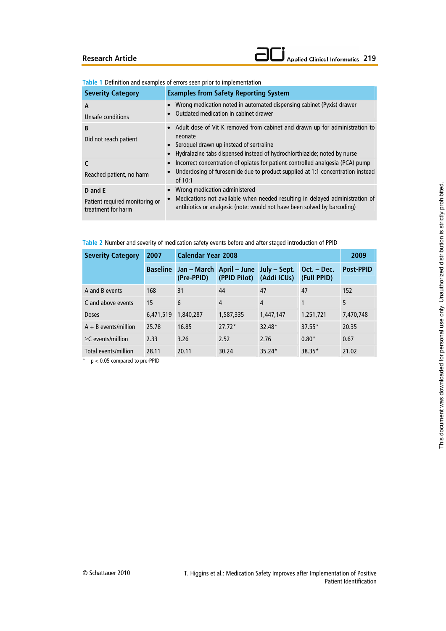#### **Research Article**

# **Applied Clinical Informatics 219**

| <b>Severity Category</b>                                        | <b>Examples from Safety Reporting System</b>                                                                                                                                                                      |
|-----------------------------------------------------------------|-------------------------------------------------------------------------------------------------------------------------------------------------------------------------------------------------------------------|
| A<br>Unsafe conditions                                          | Wrong medication noted in automated dispensing cabinet (Pyxis) drawer<br>Outdated medication in cabinet drawer                                                                                                    |
| B<br>Did not reach patient                                      | • Adult dose of Vit K removed from cabinet and drawn up for administration to<br>neonate<br>• Seroquel drawn up instead of sertraline<br>Hydralazine tabs dispensed instead of hydrochlorthiazide; noted by nurse |
| Reached patient, no harm                                        | Incorrect concentration of opiates for patient-controlled analgesia (PCA) pump<br>Underdosing of furosemide due to product supplied at 1:1 concentration instead<br>of 10:1                                       |
| D and E<br>Patient required monitoring or<br>treatment for harm | Wrong medication administered<br>Medications not available when needed resulting in delayed administration of<br>antibiotics or analgesic (note: would not have been solved by barcoding)                         |

**Table 1** Definition and examples of errors seen prior to implementation

**Table 2** Number and severity of medication safety events before and after staged introduction of PPID

| <b>Severity Category</b>                                                        | 2007            | <b>Calendar Year 2008</b> | 2009                                        |                |                              |                  |
|---------------------------------------------------------------------------------|-----------------|---------------------------|---------------------------------------------|----------------|------------------------------|------------------|
|                                                                                 | <b>Baseline</b> | Jan – March<br>(Pre-PPID) | April – June   July – Sept.<br>(PPID Pilot) | (Addi ICUs)    | $Oct. - Dec.$<br>(Full PPID) | <b>Post-PPID</b> |
| A and B events                                                                  | 168             | 31                        | 44                                          | 47             | 47                           | 152              |
| C and above events                                                              | 15              | 6                         | 4                                           | $\overline{4}$ | 1                            | 5                |
| Doses                                                                           | 6,471,519       | 1,840,287                 | 1,587,335                                   | 1,447,147      | 1,251,721                    | 7,470,748        |
| $A + B$ events/million                                                          | 25.78           | 16.85                     | $77.72*$                                    | $32.48*$       | 37.55*                       | 20.35            |
| $\geq$ C events/million                                                         | 2.33            | 3.26                      | 2.52                                        | 2.76           | $0.80*$                      | 0.67             |
| Total events/million<br>$\sim$ $\sim$ $\sim$ $\sim$ $\sim$ $\sim$ $\sim$ $\sim$ | 28.11<br>----   | 20.11                     | 30.24                                       | $35.24*$       | 38.35*                       | 21.02            |

\* p < 0.05 compared to pre-PPID